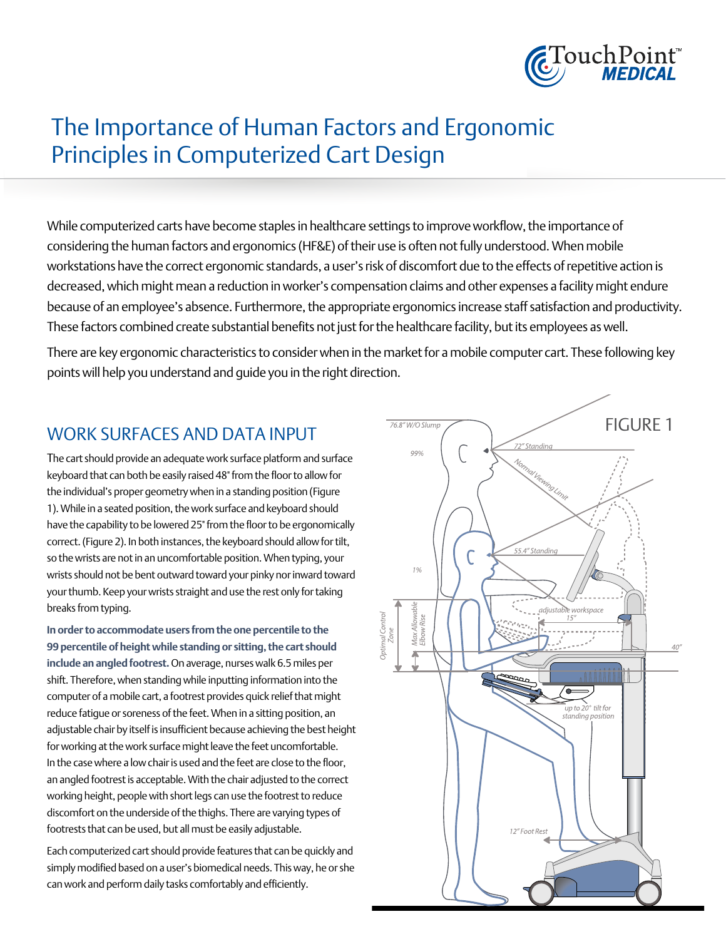

# access of Human Factors and Ergonomic<br>The Importance of Human Factors and Ergonomic The Importance of Human Factors and<br>Principles in Computerized Cart Design

While computerized carts have become staples in healthcare settings to improve workflow, the importance of considering the human factors and ergonomics (HF&E) of their use is often not fully understood. When mobile workstations have the correct ergonomic standards, a user's risk of discomfort due to the effects of repetitive action is decreased, which might mean a reduction in worker's compensation claims and other expenses a facility might endure because of an employee's absence. Furthermore, the appropriate ergonomics increase staff satisfaction and productivity. These factors combined create substantial benefits not just for the healthcare facility, but its employees as well.

There are key ergonomic characteristics to consider when in the market for a mobile computer cart. These following key points will help you understand and guide you in the right direction.

## WORK SURFACES AND DATA INPUT

The cart should provide an adequate work surface platform and surface keyboard that can both be easily raised 48" from the floor to allow for the individual's proper geometry when in a standing position (Figure 1). While in a seated position, the work surface and keyboard should have the capability to be lowered 25" from the floor to be ergonomically correct. (Figure 2). In both instances, the keyboard should allow for tilt, so the wrists are not in an uncomfortable position. When typing, your wrists should not be bent outward toward your pinky nor inward toward your thumb. Keep your wrists straight and use the rest only for taking breaks from typing.

**In order to accommodate users from the one percentile to the 99 percentile of height while standing or sitting, the cart should include an angled footrest.** On average, nurses walk 6.5 miles per shift. Therefore, when standing while inputting information into the computer of a mobile cart, a footrest provides quick relief that might reduce fatigue or soreness of the feet. When in a sitting position, an adjustable chair by itself is insufficient because achieving the best height for working at the work surface might leave the feet uncomfortable. In the case where a low chair is used and the feet are close to the floor, an angled footrest is acceptable. With the chair adjusted to the correct working height, people with short legs can use the footrest to reduce discomfort on the underside of the thighs. There are varying types of footrests that can be used, but all must be easily adjustable.

Each computerized cart should provide features that can be quickly and simply modified based on a user's biomedical needs. This way, he or she can work and perform daily tasks comfortably and efficiently.

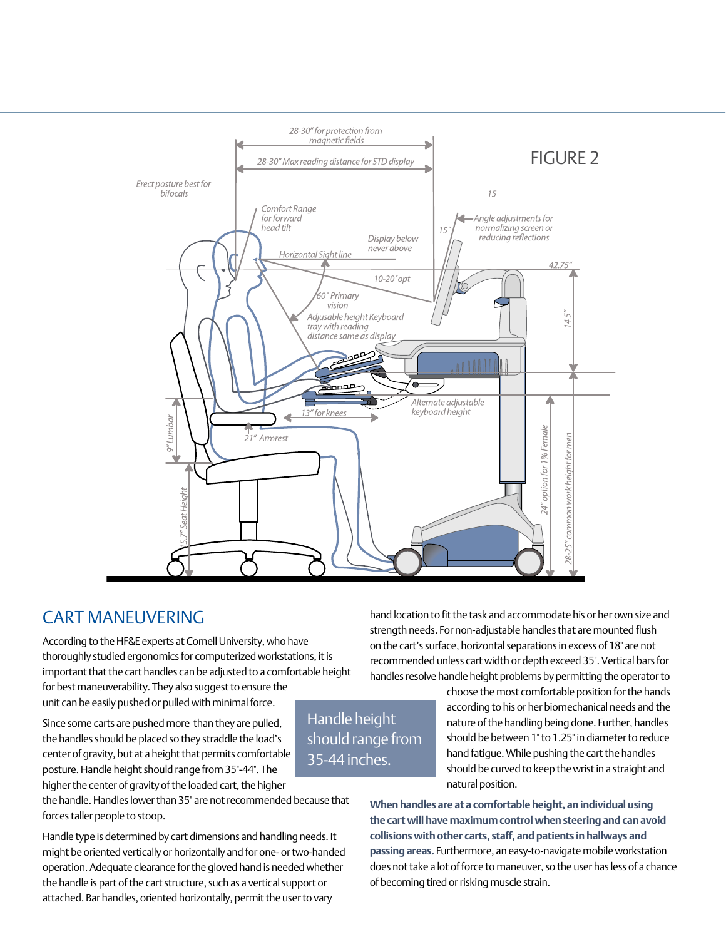

## Cart maneuvering

According to the HF&E experts at Cornell University, who have thoroughly studied ergonomics for computerized workstations, it is important that the cart handles can be adjusted to a comfortable height for best maneuverability. They also suggest to ensure the

unit can be easily pushed or pulled with minimal force.

Since some carts are pushed more than they are pulled, the handles should be placed so they straddle the load's center of gravity, but at a height that permits comfortable posture. Handle height should range from 35"-44". The higher the center of gravity of the loaded cart, the higher

the handle. Handles lower than 35" are not recommended because that forces taller people to stoop.

Handle type is determined by cart dimensions and handling needs. It might be oriented vertically or horizontally and for one- or two-handed operation. Adequate clearance for the gloved hand is needed whether the handle is part of the cart structure, such as a vertical support or attached. Bar handles, oriented horizontally, permit the user to vary

hand location to fit the task and accommodate his or her own size and strength needs. For non-adjustable handles that are mounted flush on the cart's surface, horizontal separations in excess of 18" are not recommended unless cart width or depth exceed 35". Vertical bars for handles resolve handle height problems by permitting the operator to

Handle height should range from 35-44 inches.

choose the most comfortable position for the hands according to his or her biomechanical needs and the nature of the handling being done. Further, handles should be between 1" to 1.25" in diameter to reduce hand fatigue. While pushing the cart the handles should be curved to keep the wrist in a straight and natural position.

**When handles are at a comfortable height, an individual using the cart will have maximum control when steering and can avoid collisions with other carts, staff, and patients in hallways and passing areas.** Furthermore, an easy-to-navigate mobile workstation does not take a lot of force to maneuver, so the user has less of a chance of becoming tired or risking muscle strain.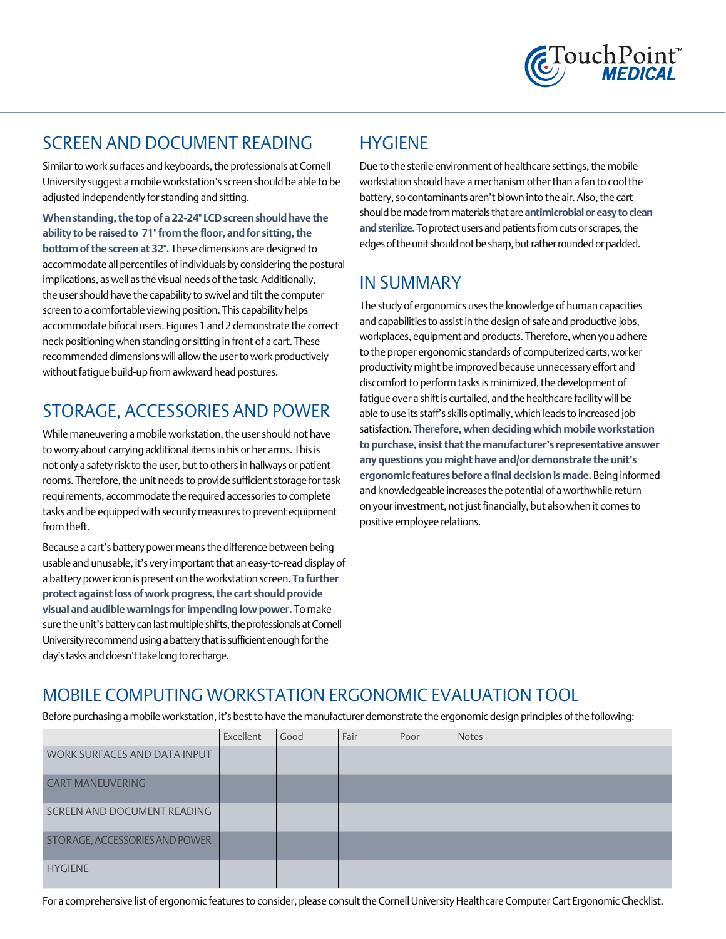

#### Screen and document reading

Similar to work surfaces and keyboards, the professionals at Cornell University suggest a mobile workstation's screen should be able to be adjusted independently for standing and sitting.

**When standing, the top of a 22-24" LCD screen should have the ability to be raised to 71" from the floor, and for sitting, the bottom of the screen at 32".** These dimensions are designed to accommodate all percentiles of individuals by considering the postural implications, as well as the visual needs of the task. Additionally, the user should have the capability to swivel and tilt the computer screen to a comfortable viewing position. This capability helps accommodate bifocal users. Figures 1 and 2 demonstrate the correct neck positioning when standing or sitting in front of a cart. These recommended dimensions will allow the user to work productively without fatigue build-up from awkward head postures.

# Storage, accessories and power

While maneuvering a mobile workstation, the user should not have to worry about carrying additional items in his or her arms. This is not only a safety risk to the user, but to others in hallways or patient rooms. Therefore, the unit needs to provide sufficient storage for task requirements, accommodate the required accessories to complete tasks and be equipped with security measures to prevent equipment from theft.

Because a cart's battery power means the difference between being usable and unusable, it's very important that an easy-to-read display of a battery power icon is present on the workstation screen. **To further protect against loss of work progress, the cart should provide visual and audible warnings for impending low power.** To make sure the unit's battery can last multiple shifts, the professionals at Cornell University recommend using a battery that is sufficient enough for the day's tasks and doesn't take long to recharge.

# **HYGIENE**

Due to the sterile environment of healthcare settings, the mobile workstation should have a mechanism other than a fan to cool the battery, so contaminants aren't blown into the air. Also, the cart should be made from materials that are **antimicrobial or easy to clean and sterilize.**To protect users and patients from cuts or scrapes, the edges of the unit should not be sharp, but rather rounded or padded.

# In summary

The study of ergonomics uses the knowledge of human capacities and capabilities to assist in the design of safe and productive jobs, workplaces, equipment and products. Therefore, when you adhere to the proper ergonomic standards of computerized carts, worker productivity might be improved because unnecessary effort and discomfort to perform tasks is minimized, the development of fatigue over a shift is curtailed, and the healthcare facility will be able to use its staff's skills optimally, which leads to increased job satisfaction. **Therefore, when deciding which mobile workstation to purchase, insist that the manufacturer's representative answer any questions you might have and/or demonstrate the unit's ergonomic features before a final decision is made.** Being informed and knowledgeable increases the potential of a worthwhile return on your investment, not just financially, but also when it comes to positive employee relations.

# Mobile Computing Workstation Ergonomic Evaluation Tool

Before purchasing a mobile workstation, it's best to have the manufacturer demonstrate the ergonomic design principles of the following:

|                                | Excellent | Good | Fair | Poor | <b>Notes</b> |
|--------------------------------|-----------|------|------|------|--------------|
| WORK SURFACES AND DATA INPUT   |           |      |      |      |              |
| <b>CART MANEUVERING</b>        |           |      |      |      |              |
| SCREEN AND DOCUMENT READING    |           |      |      |      |              |
| STORAGE, ACCESSORIES AND POWER |           |      |      |      |              |
| <b>HYGIENE</b>                 |           |      |      |      |              |

For a comprehensive list of ergonomic features to consider, please consult the Cornell University Healthcare Computer Cart Ergonomic Checklist.